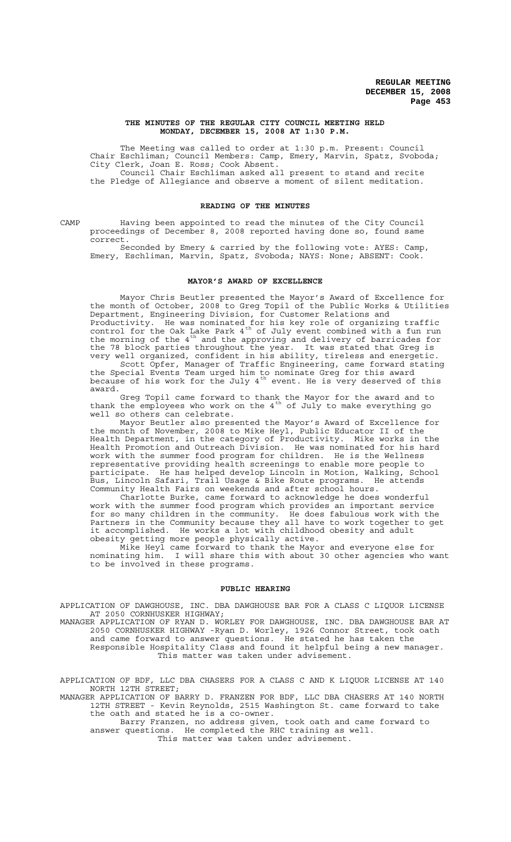#### **THE MINUTES OF THE REGULAR CITY COUNCIL MEETING HELD MONDAY, DECEMBER 15, 2008 AT 1:30 P.M.**

The Meeting was called to order at 1:30 p.m. Present: Council Chair Eschliman; Council Members: Camp, Emery, Marvin, Spatz, Svoboda; City Clerk, Joan E. Ross; Cook Absent. Council Chair Eschliman asked all present to stand and recite the Pledge of Allegiance and observe a moment of silent meditation.

#### **READING OF THE MINUTES**

CAMP Having been appointed to read the minutes of the City Council proceedings of December 8, 2008 reported having done so, found same correct.

Seconded by Emery & carried by the following vote: AYES: Camp, Emery, Eschliman, Marvin, Spatz, Svoboda; NAYS: None; ABSENT: Cook.

#### **MAYOR'S AWARD OF EXCELLENCE**

Mayor Chris Beutler presented the Mayor's Award of Excellence for the month of October, 2008 to Greg Topil of the Public Works & Utilities Department, Engineering Division, for Customer Relations and Productivity. He was nominated for his key role of organizing traffic control for the Oak Lake Park  $4^{th}$  of July event combined with a fun run the morning of the  $4^{\text{th}}$  and the approving and delivery of barricades for the 78 block parties throughout the year. It was stated that Greg is very well organized, confident in his ability, tireless and energetic.

Scott Opfer, Manager of Traffic Engineering, came forward stating the Special Events Team urged him to nominate Greg for this award because of his work for the July  $4^{\text{th}}$  event. He is very deserved of this award.

Greg Topil came forward to thank the Mayor for the award and to thank the employees who work on the  $4^{th}$  of July to make everything go well so others can celebrate.

Mayor Beutler also presented the Mayor's Award of Excellence for the month of November, 2008 to Mike Heyl, Public Educator II of the Health Department, in the category of Productivity. Mike works in the Health Promotion and Outreach Division. He was nominated for his hard work with the summer food program for children. He is the Wellness representative providing health screenings to enable more people to participate. He has helped develop Lincoln in Motion, Walking, School Bus, Lincoln Safari, Trail Usage & Bike Route programs. He attends Community Health Fairs on weekends and after school hours.

Charlotte Burke, came forward to acknowledge he does wonderful work with the summer food program which provides an important service for so many children in the community. He does fabulous work with the Partners in the Community because they all have to work together to get it accomplished. He works a lot with childhood obesity and adult obesity getting more people physically active.

Mike Heyl came forward to thank the Mayor and everyone else for nominating him. I will share this with about 30 other agencies who want to be involved in these programs.

#### **PUBLIC HEARING**

APPLICATION OF DAWGHOUSE, INC. DBA DAWGHOUSE BAR FOR A CLASS C LIQUOR LICENSE AT 2050 CORNHUSKER HIGHWAY;

MANAGER APPLICATION OF RYAN D. WORLEY FOR DAWGHOUSE, INC. DBA DAWGHOUSE BAR AT 2050 CORNHUSKER HIGHWAY -Ryan D. Worley, 1926 Connor Street, took oath and came forward to answer questions. He stated he has taken the Responsible Hospitality Class and found it helpful being a new manager. This matter was taken under advisement.

APPLICATION OF BDF, LLC DBA CHASERS FOR A CLASS C AND K LIQUOR LICENSE AT 140 NORTH 12TH STREET;

MANAGER APPLICATION OF BARRY D. FRANZEN FOR BDF, LLC DBA CHASERS AT 140 NORTH 12TH STREET - Kevin Reynolds, 2515 Washington St. came forward to take the oath and stated he is a co-owner.

Barry Franzen, no address given, took oath and came forward to answer questions. He completed the RHC training as well. This matter was taken under advisement.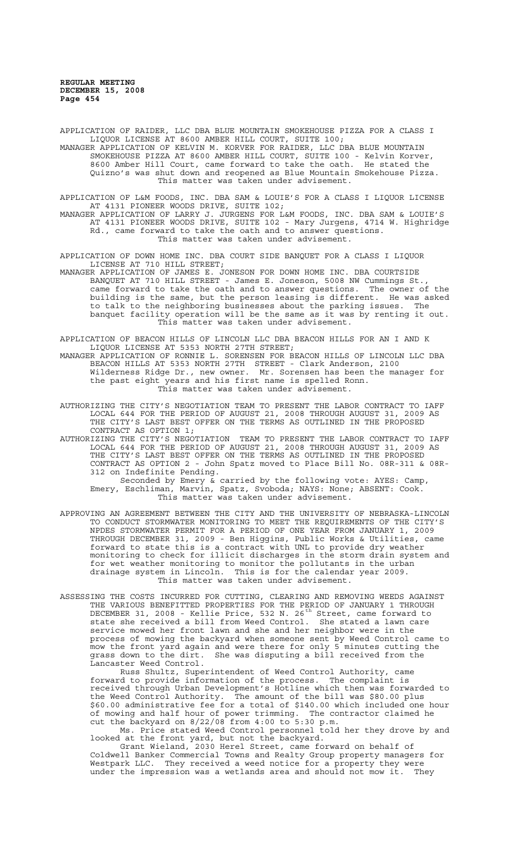APPLICATION OF RAIDER, LLC DBA BLUE MOUNTAIN SMOKEHOUSE PIZZA FOR A CLASS I LIQUOR LICENSE AT 8600 AMBER HILL COURT, SUITE 100; MANAGER APPLICATION OF KELVIN M. KORVER FOR RAIDER, LLC DBA BLUE MOUNTAIN SMOKEHOUSE PIZZA AT 8600 AMBER HILL COURT, SUITE 100 - Kelvin Korver, 8600 Amber Hill Court, came forward to take the oath. He stated the Quizno's was shut down and reopened as Blue Mountain Smokehouse Pizza. This matter was taken under advisement.

APPLICATION OF L&M FOODS, INC. DBA SAM & LOUIE'S FOR A CLASS I LIQUOR LICENSE AT 4131 PIONEER WOODS DRIVE, SUITE 102; MANAGER APPLICATION OF LARRY J. JURGENS FOR L&M FOODS, INC. DBA SAM & LOUIE'S

AT 4131 PIONEER WOODS DRIVE, SUITE 102 - Mary Jurgens, 4714 W. Highridge Rd., came forward to take the oath and to answer questions. This matter was taken under advisement.

APPLICATION OF DOWN HOME INC. DBA COURT SIDE BANQUET FOR A CLASS I LIQUOR LICENSE AT 710 HILL STREET;

MANAGER APPLICATION OF JAMES E. JONESON FOR DOWN HOME INC. DBA COURTSIDE BANQUET AT 710 HILL STREET - James E. Joneson, 5008 NW Cummings St., came forward to take the oath and to answer questions. The owner of the building is the same, but the person leasing is different. He was asked to talk to the neighboring businesses about the parking issues. The banquet facility operation will be the same as it was by renting it out. This matter was taken under advisement.

APPLICATION OF BEACON HILLS OF LINCOLN LLC DBA BEACON HILLS FOR AN I AND K LIQUOR LICENSE AT 5353 NORTH 27TH STREET;

MANAGER APPLICATION OF RONNIE L. SORENSEN FOR BEACON HILLS OF LINCOLN LLC DBA BEACON HILLS AT 5353 NORTH 27TH STREET - Clark Anderson, 2100 Wilderness Ridge Dr., new owner. Mr. Sorensen has been the manager for the past eight years and his first name is spelled Ronn. This matter was taken under advisement.

AUTHORIZING THE CITY'S NEGOTIATION TEAM TO PRESENT THE LABOR CONTRACT TO IAFF LOCAL 644 FOR THE PERIOD OF AUGUST 21, 2008 THROUGH AUGUST 31, 2009 AS THE CITY'S LAST BEST OFFER ON THE TERMS AS OUTLINED IN THE PROPOSED CONTRACT AS OPTION 1;

AUTHORIZING THE CITY'S NEGOTIATION TEAM TO PRESENT THE LABOR CONTRACT TO IAFF LOCAL 644 FOR THE PERIOD OF AUGUST 21, 2008 THROUGH AUGUST 31, 2009 AS THE CITY'S LAST BEST OFFER ON THE TERMS AS OUTLINED IN THE PROPOSED CONTRACT AS OPTION 2 - John Spatz moved to Place Bill No. 08R-311 & 08R-312 on Indefinite Pending.

Seconded by Emery & carried by the following vote: AYES: Camp, Emery, Eschliman, Marvin, Spatz, Svoboda; NAYS: None; ABSENT: Cook. This matter was taken under advisement.

- APPROVING AN AGREEMENT BETWEEN THE CITY AND THE UNIVERSITY OF NEBRASKA-LINCOLN TO CONDUCT STORMWATER MONITORING TO MEET THE REQUIREMENTS OF THE CITY'S NPDES STORMWATER PERMIT FOR A PERIOD OF ONE YEAR FROM JANUARY 1, 2009 THROUGH DECEMBER 31, 2009 - Ben Higgins, Public Works & Utilities, came forward to state this is a contract with UNL to provide dry weather monitoring to check for illicit discharges in the storm drain system and for wet weather monitoring to monitor the pollutants in the urban drainage system in Lincoln. This is for the calendar year 2009. This matter was taken under advisement.
- ASSESSING THE COSTS INCURRED FOR CUTTING, CLEARING AND REMOVING WEEDS AGAINST THE VARIOUS BENEFITTED PROPERTIES FOR THE PERIOD OF JANUARY 1 THROUGH DECEMBER 31, 2008 - Kellie Price, 532 N. 26<sup>th</sup> Street, came forward to state she received a bill from Weed Control. She stated a lawn care service mowed her front lawn and she and her neighbor were in the process of mowing the backyard when someone sent by Weed Control came to mow the front yard again and were there for only 5 minutes cutting the grass down to the dirt. She was disputing a bill received from the Lancaster Weed Control.

Russ Shultz, Superintendent of Weed Control Authority, came forward to provide information of the process. The complaint is received through Urban Development's Hotline which then was forwarded to the Weed Control Authority. The amount of the bill was \$80.00 plus \$60.00 administrative fee for a total of \$140.00 which included one hour of mowing and half hour of power trimming. The contractor claimed he cut the backyard on 8/22/08 from 4:00 to 5:30 p.m.

Ms. Price stated Weed Control personnel told her they drove by and looked at the front yard, but not the backyard.

Grant Wieland, 2030 Herel Street, came forward on behalf of Coldwell Banker Commercial Towns and Realty Group property managers for Westpark LLC. They received a weed notice for a property they were under the impression was a wetlands area and should not mow it. They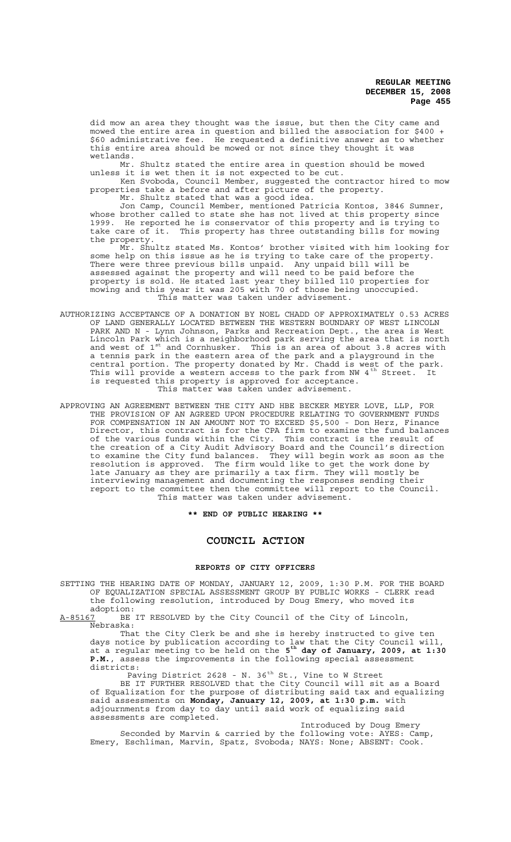did mow an area they thought was the issue, but then the City came and mowed the entire area in question and billed the association for \$400 + \$60 administrative fee. He requested a definitive answer as to whether this entire area should be mowed or not since they thought it was wetlands.

Mr. Shultz stated the entire area in question should be mowed unless it is wet then it is not expected to be cut.

Ken Svoboda, Council Member, suggested the contractor hired to mow properties take a before and after picture of the property.

Mr. Shultz stated that was a good idea.

Jon Camp, Council Member, mentioned Patricia Kontos, 3846 Sumner, whose brother called to state she has not lived at this property since 1999. He reported he is conservator of this property and is trying to take care of it. This property has three outstanding bills for mowing the property.

Mr. Shultz stated Ms. Kontos' brother visited with him looking for some help on this issue as he is trying to take care of the property. There were three previous bills unpaid. Any unpaid bill will be assessed against the property and will need to be paid before the property is sold. He stated last year they billed 110 properties for mowing and this year it was 205 with 70 of those being unoccupied. This matter was taken under advisement.

- AUTHORIZING ACCEPTANCE OF A DONATION BY NOEL CHADD OF APPROXIMATELY 0.53 ACRES OF LAND GENERALLY LOCATED BETWEEN THE WESTERN BOUNDARY OF WEST LINCOLN PARK AND N - Lynn Johnson, Parks and Recreation Dept., the area is West Lincoln Park which is a neighborhood park serving the area that is north and west of  $1^{st}$  and Cornhusker. This is an area of about 3.8 acres with a tennis park in the eastern area of the park and a playground in the central portion. The property donated by Mr. Chadd is west of the park. This will provide a western access to the park from NW 4<sup>th</sup> Street. It is requested this property is approved for acceptance. This matter was taken under advisement.
- APPROVING AN AGREEMENT BETWEEN THE CITY AND HBE BECKER MEYER LOVE, LLP, FOR THE PROVISION OF AN AGREED UPON PROCEDURE RELATING TO GOVERNMENT FUNDS FOR COMPENSATION IN AN AMOUNT NOT TO EXCEED \$5,500 - Don Herz, Finance Director, this contract is for the CPA firm to examine the fund balances of the various funds within the City. This contract is the result of the creation of a City Audit Advisory Board and the Council's direction to examine the City fund balances. They will begin work as soon as the resolution is approved. The firm would like to get the work done by late January as they are primarily a tax firm. They will mostly be interviewing management and documenting the responses sending their report to the committee then the committee will report to the Council. This matter was taken under advisement.

**\*\* END OF PUBLIC HEARING \*\***

## **COUNCIL ACTION**

#### **REPORTS OF CITY OFFICERS**

SETTING THE HEARING DATE OF MONDAY, JANUARY 12, 2009, 1:30 P.M. FOR THE BOARD OF EQUALIZATION SPECIAL ASSESSMENT GROUP BY PUBLIC WORKS - CLERK read the following resolution, introduced by Doug Emery, who moved its

adoption:<br>A-85167 BE BE IT RESOLVED by the City Council of the City of Lincoln, Nebraska:

That the City Clerk be and she is hereby instructed to give ten days notice by publication according to law that the City Council will, at a regular meeting to be held on the **5th day of January, 2009, at 1:30 P.M.**, assess the improvements in the following special assessment districts:

Paving District 2628 - N. 36<sup>th</sup> St., Vine to W Street

BE IT FURTHER RESOLVED that the City Council will sit as a Board of Equalization for the purpose of distributing said tax and equalizing said assessments on **Monday, January 12, 2009, at 1:30 p.m.** with adjournments from day to day until said work of equalizing said assessments are completed.

Introduced by Doug Emery Seconded by Marvin & carried by the following vote: AYES: Camp, Emery, Eschliman, Marvin, Spatz, Svoboda; NAYS: None; ABSENT: Cook.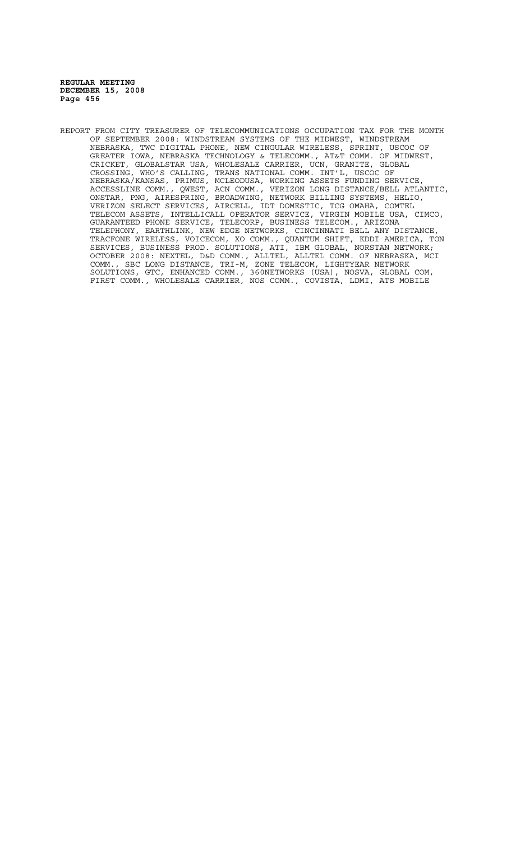REPORT FROM CITY TREASURER OF TELECOMMUNICATIONS OCCUPATION TAX FOR THE MONTH OF SEPTEMBER 2008: WINDSTREAM SYSTEMS OF THE MIDWEST, WINDSTREAM NEBRASKA, TWC DIGITAL PHONE, NEW CINGULAR WIRELESS, SPRINT, USCOC OF GREATER IOWA, NEBRASKA TECHNOLOGY & TELECOMM., AT&T COMM. OF MIDWEST, CRICKET, GLOBALSTAR USA, WHOLESALE CARRIER, UCN, GRANITE, GLOBAL CROSSING, WHO'S CALLING, TRANS NATIONAL COMM. INT'L, USCOC OF NEBRASKA/KANSAS, PRIMUS, MCLEODUSA, WORKING ASSETS FUNDING SERVICE, ACCESSLINE COMM., QWEST, ACN COMM., VERIZON LONG DISTANCE/BELL ATLANTIC, ONSTAR, PNG, AIRESPRING, BROADWING, NETWORK BILLING SYSTEMS, HELIO, VERIZON SELECT SERVICES, AIRCELL, IDT DOMESTIC, TCG OMAHA, COMTEL TELECOM ASSETS, INTELLICALL OPERATOR SERVICE, VIRGIN MOBILE USA, CIMCO, GUARANTEED PHONE SERVICE, TELECORP, BUSINESS TELECOM., ARIZONA TELEPHONY, EARTHLINK, NEW EDGE NETWORKS, CINCINNATI BELL ANY DISTANCE, TRACFONE WIRELESS, VOICECOM, XO COMM., QUANTUM SHIFT, KDDI AMERICA, TON SERVICES, BUSINESS PROD. SOLUTIONS, ATI, IBM GLOBAL, NORSTAN NETWORK; OCTOBER 2008: NEXTEL, D&D COMM., ALLTEL, ALLTEL COMM. OF NEBRASKA, MCI COMM., SBC LONG DISTANCE, TRI-M, ZONE TELECOM, LIGHTYEAR NETWORK SOLUTIONS, GTC, ENHANCED COMM., 360NETWORKS (USA), NOSVA, GLOBAL COM, FIRST COMM., WHOLESALE CARRIER, NOS COMM., COVISTA, LDMI, ATS MOBILE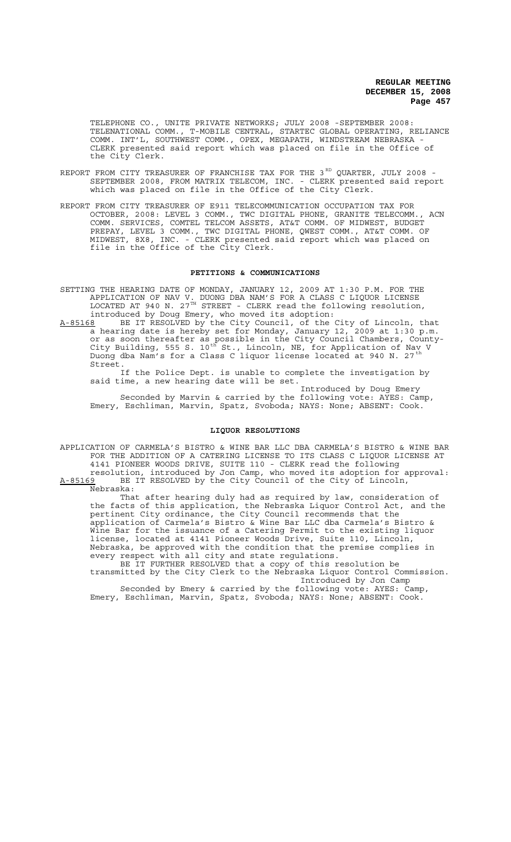TELEPHONE CO., UNITE PRIVATE NETWORKS; JULY 2008 -SEPTEMBER 2008: TELENATIONAL COMM., T-MOBILE CENTRAL, STARTEC GLOBAL OPERATING, RELIANCE COMM. INT'L, SOUTHWEST COMM., OPEX, MEGAPATH, WINDSTREAM NEBRASKA - CLERK presented said report which was placed on file in the Office of the City Clerk.

- REPORT FROM CITY TREASURER OF FRANCHISE TAX FOR THE 3 $^{\text{\tiny RD}}$  QUARTER, JULY 2008 -SEPTEMBER 2008, FROM MATRIX TELECOM, INC. - CLERK presented said report which was placed on file in the Office of the City Clerk.
- REPORT FROM CITY TREASURER OF E911 TELECOMMUNICATION OCCUPATION TAX FOR OCTOBER, 2008: LEVEL 3 COMM., TWC DIGITAL PHONE, GRANITE TELECOMM., ACN COMM. SERVICES, COMTEL TELCOM ASSETS, AT&T COMM. OF MIDWEST, BUDGET PREPAY, LEVEL 3 COMM., TWC DIGITAL PHONE, QWEST COMM., AT&T COMM. OF MIDWEST, 8X8, INC. - CLERK presented said report which was placed on file in the Office of the City Clerk.

#### **PETITIONS & COMMUNICATIONS**

SETTING THE HEARING DATE OF MONDAY, JANUARY 12, 2009 AT 1:30 P.M. FOR THE APPLICATION OF NAV V. DUONG DBA NAM'S FOR A CLASS C LIQUOR LICENSE LOCATED AT 940 N. 27 $^{TH}$  STREET - CLERK read the following resolution, introduced by Doug Emery, who moved its adoption:

A-85168 BE IT RESOLVED by the City Council, of the City of Lincoln, that a hearing date is hereby set for Monday, January 12, 2009 at 1:30 p.m. or as soon thereafter as possible in the City Council Chambers, County-City Building, 555 S. 10<sup>th</sup> St., Lincoln, NE, for Application of Nav V Duong dba Nam's for a Class C liquor license located at 940 N. 27 th Street.

If the Police Dept. is unable to complete the investigation by said time, a new hearing date will be set.

Introduced by Doug Emery Seconded by Marvin & carried by the following vote: AYES: Camp, Emery, Eschliman, Marvin, Spatz, Svoboda; NAYS: None; ABSENT: Cook.

## **LIQUOR RESOLUTIONS**

APPLICATION OF CARMELA'S BISTRO & WINE BAR LLC DBA CARMELA'S BISTRO & WINE BAR FOR THE ADDITION OF A CATERING LICENSE TO ITS CLASS C LIQUOR LICENSE AT 4141 PIONEER WOODS DRIVE, SUITE 110 - CLERK read the following resolution, introduced by Jon Camp, who moved its adoption for approval:

A-85169 BE IT RESOLVED by the City Council of the City of Lincoln, Nebraska:

That after hearing duly had as required by law, consideration of the facts of this application, the Nebraska Liquor Control Act, and the pertinent City ordinance, the City Council recommends that the application of Carmela's Bistro & Wine Bar LLC dba Carmela's Bistro & Wine Bar for the issuance of a Catering Permit to the existing liquor license, located at 4141 Pioneer Woods Drive, Suite 110, Lincoln, Nebraska, be approved with the condition that the premise complies in every respect with all city and state regulations.

BE IT FURTHER RESOLVED that a copy of this resolution be transmitted by the City Clerk to the Nebraska Liquor Control Commission. Introduced by Jon Camp

Seconded by Emery & carried by the following vote: AYES: Camp, Emery, Eschliman, Marvin, Spatz, Svoboda; NAYS: None; ABSENT: Cook.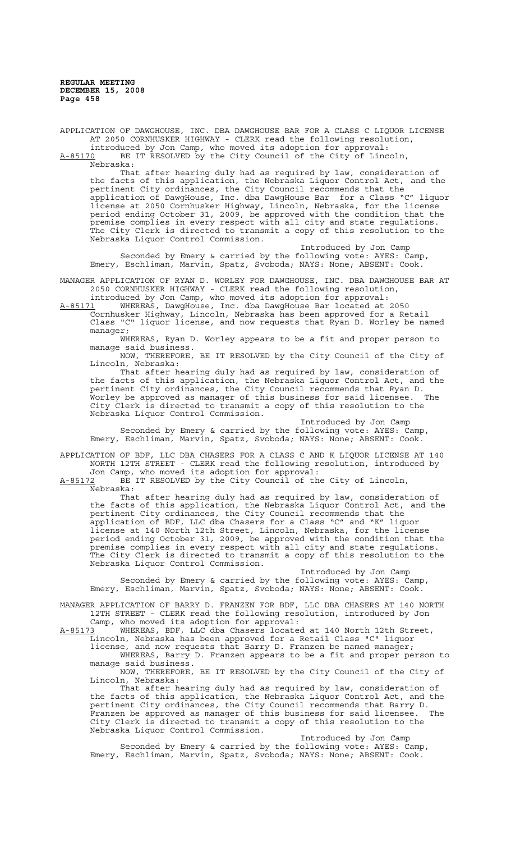APPLICATION OF DAWGHOUSE, INC. DBA DAWGHOUSE BAR FOR A CLASS C LIQUOR LICENSE AT 2050 CORNHUSKER HIGHWAY - CLERK read the following resolution, introduced by Jon Camp, who moved its adoption for approval:

A-85170 BE IT RESOLVED by the City Council of the City of Lincoln,  $A-85170$  BE<br>Nebraska:

That after hearing duly had as required by law, consideration of the facts of this application, the Nebraska Liquor Control Act, and the pertinent City ordinances, the City Council recommends that the application of DawgHouse, Inc. dba DawgHouse Bar for a Class "C" liquor license at 2050 Cornhusker Highway, Lincoln, Nebraska, for the license period ending October 31, 2009, be approved with the condition that the premise complies in every respect with all city and state regulations. The City Clerk is directed to transmit a copy of this resolution to the Nebraska Liquor Control Commission.

Introduced by Jon Camp Seconded by Emery & carried by the following vote: AYES: Camp, Emery, Eschliman, Marvin, Spatz, Svoboda; NAYS: None; ABSENT: Cook.

MANAGER APPLICATION OF RYAN D. WORLEY FOR DAWGHOUSE, INC. DBA DAWGHOUSE BAR AT 2050 CORNHUSKER HIGHWAY - CLERK read the following resolution,

introduced by Jon Camp, who moved its adoption for approval:

A-85171 WHEREAS, DawgHouse, Inc. dba DawgHouse Bar located at 2050 Cornhusker Highway, Lincoln, Nebraska has been approved for a Retail Class "C" liquor license, and now requests that Ryan D. Worley be named manager;

WHEREAS, Ryan D. Worley appears to be a fit and proper person to manage said business.

NOW, THEREFORE, BE IT RESOLVED by the City Council of the City of Lincoln, Nebraska:

That after hearing duly had as required by law, consideration of the facts of this application, the Nebraska Liquor Control Act, and the pertinent City ordinances, the City Council recommends that Ryan D. Worley be approved as manager of this business for said licensee. The City Clerk is directed to transmit a copy of this resolution to the Nebraska Liquor Control Commission.

Introduced by Jon Camp Seconded by Emery & carried by the following vote: AYES: Camp, Emery, Eschliman, Marvin, Spatz, Svoboda; NAYS: None; ABSENT: Cook.

APPLICATION OF BDF, LLC DBA CHASERS FOR A CLASS C AND K LIQUOR LICENSE AT 140 NORTH 12TH STREET - CLERK read the following resolution, introduced by

Jon Camp, who moved its adoption for approval: A-85172 BE IT RESOLVED by the City Council of the City of Lincoln,

Nebraska:

That after hearing duly had as required by law, consideration of the facts of this application, the Nebraska Liquor Control Act, and the pertinent City ordinances, the City Council recommends that the application of BDF, LLC dba Chasers for a Class "C" and "K" liquor license at 140 North 12th Street, Lincoln, Nebraska, for the license period ending October 31, 2009, be approved with the condition that the premise complies in every respect with all city and state regulations. The City Clerk is directed to transmit a copy of this resolution to the Nebraska Liquor Control Commission.

Introduced by Jon Camp Seconded by Emery & carried by the following vote: AYES: Camp, Emery, Eschliman, Marvin, Spatz, Svoboda; NAYS: None; ABSENT: Cook.

MANAGER APPLICATION OF BARRY D. FRANZEN FOR BDF, LLC DBA CHASERS AT 140 NORTH 12TH STREET - CLERK read the following resolution, introduced by Jon

Camp, who moved its adoption for approval:<br>A-85173 WHEREAS, BDF, LLC dba Chasers locate A-85173 WHEREAS, BDF, LLC dba Chasers located at 140 North 12th Street, Lincoln, Nebraska has been approved for a Retail Class "C" liquor

license, and now requests that Barry D. Franzen be named manager; WHEREAS, Barry D. Franzen appears to be a fit and proper person to manage said business.

NOW, THEREFORE, BE IT RESOLVED by the City Council of the City of Lincoln, Nebraska:

That after hearing duly had as required by law, consideration of the facts of this application, the Nebraska Liquor Control Act, and the pertinent City ordinances, the City Council recommends that Barry D. Franzen be approved as manager of this business for said licensee. The City Clerk is directed to transmit a copy of this resolution to the Nebraska Liquor Control Commission.

Introduced by Jon Camp<br>ollowing vote: AYES: Camp, Seconded by Emery & carried by the following vote: AYES: Camp, Emery, Eschliman, Marvin, Spatz, Svoboda; NAYS: None; ABSENT: Cook.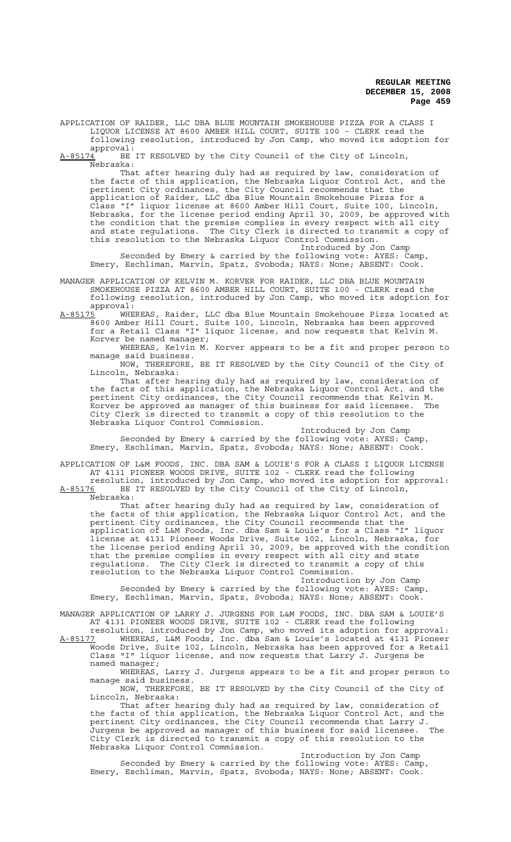APPLICATION OF RAIDER, LLC DBA BLUE MOUNTAIN SMOKEHOUSE PIZZA FOR A CLASS I LIQUOR LICENSE AT 8600 AMBER HILL COURT, SUITE 100 - CLERK read the following resolution, introduced by Jon Camp, who moved its adoption for

 $approwal:$ <br> $A-85174$  BE BE IT RESOLVED by the City Council of the City of Lincoln,

Nebraska:

That after hearing duly had as required by law, consideration of the facts of this application, the Nebraska Liquor Control Act, and the pertinent City ordinances, the City Council recommends that the application of Raider, LLC dba Blue Mountain Smokehouse Pizza for a Class "I" liquor license at 8600 Amber Hill Court, Suite 100, Lincoln, Nebraska, for the license period ending April 30, 2009, be approved with the condition that the premise complies in every respect with all city and state regulations. The City Clerk is directed to transmit a copy of this resolution to the Nebraska Liquor Control Commission.

Introduced by Jon Camp Seconded by Emery & carried by the following vote: AYES: Camp, Emery, Eschliman, Marvin, Spatz, Svoboda; NAYS: None; ABSENT: Cook.

MANAGER APPLICATION OF KELVIN M. KORVER FOR RAIDER, LLC DBA BLUE MOUNTAIN SMOKEHOUSE PIZZA AT 8600 AMBER HILL COURT, SUITE 100 - CLERK read the following resolution, introduced by Jon Camp, who moved its adoption for approval:<br><u>A-85175</u> WHE

A-85175 WHEREAS, Raider, LLC dba Blue Mountain Smokehouse Pizza located at 8600 Amber Hill Court, Suite 100, Lincoln, Nebraska has been approved for a Retail Class "I" liquor license, and now requests that Kelvin M. Korver be named manager;

WHEREAS, Kelvin M. Korver appears to be a fit and proper person to manage said business.

NOW, THEREFORE, BE IT RESOLVED by the City Council of the City of Lincoln, Nebraska:

That after hearing duly had as required by law, consideration of the facts of this application, the Nebraska Liquor Control Act, and the pertinent City ordinances, the City Council recommends that Kelvin M. Korver be approved as manager of this business for said licensee. The City Clerk is directed to transmit a copy of this resolution to the Nebraska Liquor Control Commission.

Introduced by Jon Camp Seconded by Emery & carried by the following vote: AYES: Camp, Emery, Eschliman, Marvin, Spatz, Svoboda; NAYS: None; ABSENT: Cook.

APPLICATION OF L&M FOODS, INC. DBA SAM & LOUIE'S FOR A CLASS I LIQUOR LICENSE AT 4131 PIONEER WOODS DRIVE, SUITE 102 - CLERK read the following

resolution, introduced by Jon Camp, who moved its adoption for approval: A-85176 BE IT RESOLVED by the City Council of the City of Lincoln, Nebraska:

That after hearing duly had as required by law, consideration of the facts of this application, the Nebraska Liquor Control Act, and the pertinent City ordinances, the City Council recommends that the application of L&M Foods, Inc. dba Sam & Louie's for a Class "I" liquor license at 4131 Pioneer Woods Drive, Suite 102, Lincoln, Nebraska, for the license period ending April 30, 2009, be approved with the condition that the premise complies in every respect with all city and state regulations. The City Clerk is directed to transmit a copy of this resolution to the Nebraska Liquor Control Commission.

Introduction by Jon Camp<br>iollowing vote: AYES: Camp, Seconded by Emery & carried by the following vote: AYES: Camp, Emery, Eschliman, Marvin, Spatz, Svoboda; NAYS: None; ABSENT: Cook.

MANAGER APPLICATION OF LARRY J. JURGENS FOR L&M FOODS, INC. DBA SAM & LOUIE'S AT 4131 PIONEER WOODS DRIVE, SUITE 102 - CLERK read the following

resolution, introduced by Jon Camp, who moved its adoption for approval: A-85177 WHEREAS, L&M Foods, Inc. dba Sam & Louie's located at 4131 Pioneer Woods Drive, Suite 102, Lincoln, Nebraska has been approved for a Retail Class "I" liquor license, and now requests that Larry J. Jurgens be named manager;

WHEREAS, Larry J. Jurgens appears to be a fit and proper person to manage said business.

NOW, THEREFORE, BE IT RESOLVED by the City Council of the City of Lincoln, Nebraska:

That after hearing duly had as required by law, consideration of the facts of this application, the Nebraska Liquor Control Act, and the pertinent City ordinances, the City Council recommends that Larry J. Jurgens be approved as manager of this business for said licensee. The City Clerk is directed to transmit a copy of this resolution to the Nebraska Liquor Control Commission.

Introduction by Jon Camp Seconded by Emery & carried by the following vote: AYES: Camp, Emery, Eschliman, Marvin, Spatz, Svoboda; NAYS: None; ABSENT: Cook.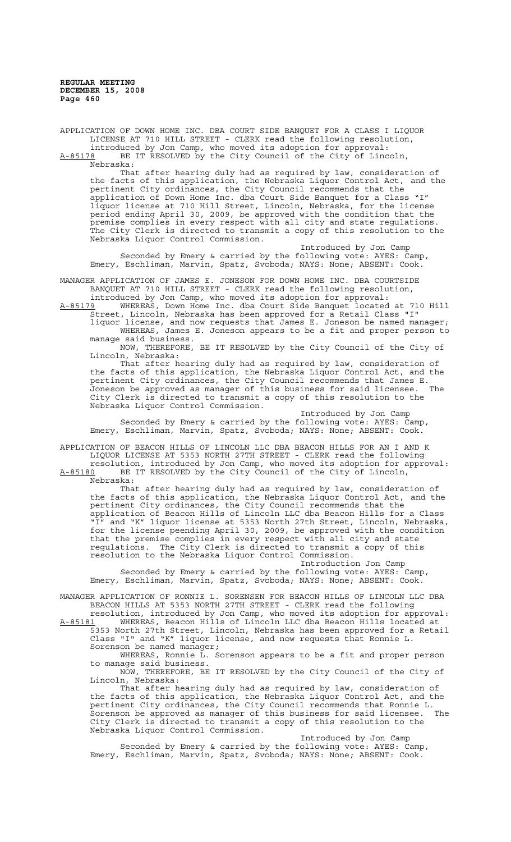APPLICATION OF DOWN HOME INC. DBA COURT SIDE BANQUET FOR A CLASS I LIQUOR LICENSE AT 710 HILL STREET - CLERK read the following resolution, introduced by Jon Camp, who moved its adoption for approval: A-85178 BE IT RESOLVED by the City Council of the City of Lincoln,  $A-85178$  BE<br>Nebraska:

That after hearing duly had as required by law, consideration of the facts of this application, the Nebraska Liquor Control Act, and the pertinent City ordinances, the City Council recommends that the application of Down Home Inc. dba Court Side Banquet for a Class "I" liquor license at 710 Hill Street, Lincoln, Nebraska, for the license period ending April 30, 2009, be approved with the condition that the premise complies in every respect with all city and state regulations. The City Clerk is directed to transmit a copy of this resolution to the Nebraska Liquor Control Commission.

Introduced by Jon Camp Seconded by Emery & carried by the following vote: AYES: Camp, Emery, Eschliman, Marvin, Spatz, Svoboda; NAYS: None; ABSENT: Cook.

MANAGER APPLICATION OF JAMES E. JONESON FOR DOWN HOME INC. DBA COURTSIDE BANQUET AT 710 HILL STREET - CLERK read the following resolution,

introduced by Jon Camp, who moved its adoption for approval:<br>A-85179 WHEREAS, Down Home Inc. dba Court Side Banquet located WHEREAS, Down Home Inc. dba Court Side Banquet located at 710 Hill

Street, Lincoln, Nebraska has been approved for a Retail Class "I" liquor license, and now requests that James E. Joneson be named manager; WHEREAS, James E. Joneson appears to be a fit and proper person to

manage said business. NOW, THEREFORE, BE IT RESOLVED by the City Council of the City of Lincoln, Nebraska:

That after hearing duly had as required by law, consideration of the facts of this application, the Nebraska Liquor Control Act, and the pertinent City ordinances, the City Council recommends that James E.<br>Joneson be approved as manager of this business for said licensee. The Joneson be approved as manager of this business for said licensee. The City Clerk is directed to transmit a copy of this resolution to the Nebraska Liquor Control Commission.

Introduced by Jon Camp Seconded by Emery & carried by the following vote: AYES: Camp, Emery, Eschliman, Marvin, Spatz, Svoboda; NAYS: None; ABSENT: Cook.

APPLICATION OF BEACON HILLS OF LINCOLN LLC DBA BEACON HILLS FOR AN I AND K LIQUOR LICENSE AT 5353 NORTH 27TH STREET - CLERK read the following

resolution, introduced by Jon Camp, who moved its adoption for approval: A-85180 BE IT RESOLVED by the City Council of the City of Lincoln, Nebraska:

That after hearing duly had as required by law, consideration of the facts of this application, the Nebraska Liquor Control Act, and the pertinent City ordinances, the City Council recommends that the application of Beacon Hills of Lincoln LLC dba Beacon Hills for a Class "I" and "K" liquor license at 5353 North 27th Street, Lincoln, Nebraska, for the license peending April 30, 2009, be approved with the condition that the premise complies in every respect with all city and state regulations. The City Clerk is directed to transmit a copy of this resolution to the Nebraska Liquor Control Commission.

Introduction Jon Camp<br>Following vote: AYES: Camp, Seconded by Emery & carried by the following vote:  $AYES:$ Emery, Eschliman, Marvin, Spatz, Svoboda; NAYS: None; ABSENT: Cook.

MANAGER APPLICATION OF RONNIE L. SORENSEN FOR BEACON HILLS OF LINCOLN LLC DBA BEACON HILLS AT 5353 NORTH 27TH STREET - CLERK read the following

resolution, introduced by Jon Camp, who moved its adoption for approval: A-85181 WHEREAS, Beacon Hills of Lincoln LLC dba Beacon Hills located at 5353 North 27th Street, Lincoln, Nebraska has been approved for a Retail Class "I" and "K" liquor license, and now requests that Ronnie L. Sorenson be named manager;

WHEREAS, Ronnie L. Sorenson appears to be a fit and proper person to manage said business.

NOW, THEREFORE, BE IT RESOLVED by the City Council of the City of Lincoln, Nebraska:

That after hearing duly had as required by law, consideration of the facts of this application, the Nebraska Liquor Control Act, and the pertinent City ordinances, the City Council recommends that Ronnie L. Sorenson be approved as manager of this business for said licensee. The City Clerk is directed to transmit a copy of this resolution to the Nebraska Liquor Control Commission.

Introduced by Jon Camp<br>
iollowing vote: AYES: Camp, Seconded by Emery & carried by the following vote: AYES: Camp, Emery, Eschliman, Marvin, Spatz, Svoboda; NAYS: None; ABSENT: Cook.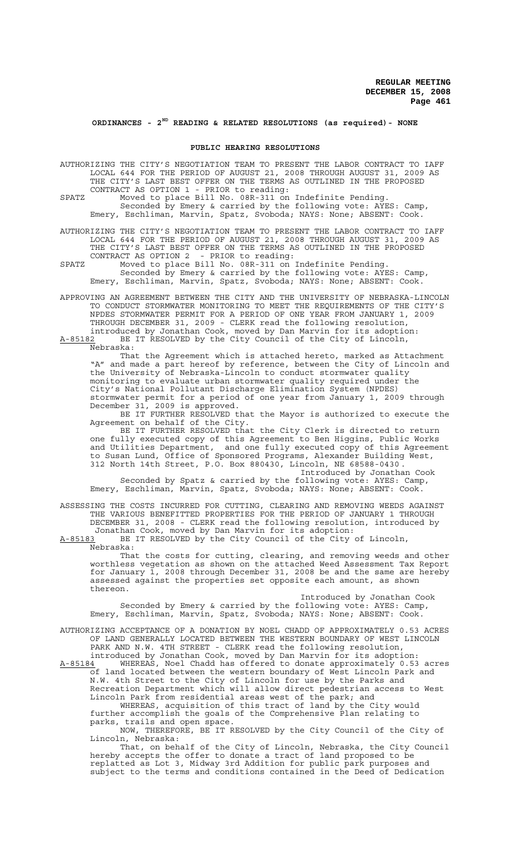# **ORDINANCES - 2ND READING & RELATED RESOLUTIONS (as required)- NONE**

#### **PUBLIC HEARING RESOLUTIONS**

AUTHORIZING THE CITY'S NEGOTIATION TEAM TO PRESENT THE LABOR CONTRACT TO IAFF LOCAL 644 FOR THE PERIOD OF AUGUST 21, 2008 THROUGH AUGUST 31, 2009 AS THE CITY'S LAST BEST OFFER ON THE TERMS AS OUTLINED IN THE PROPOSED CONTRACT AS OPTION 1 - PRIOR to reading:

SPATZ Moved to place Bill No. 08R-311 on Indefinite Pending. Seconded by Emery & carried by the following vote: AYES: Camp, Emery, Eschliman, Marvin, Spatz, Svoboda; NAYS: None; ABSENT: Cook.

AUTHORIZING THE CITY'S NEGOTIATION TEAM TO PRESENT THE LABOR CONTRACT TO IAFF LOCAL 644 FOR THE PERIOD OF AUGUST 21, 2008 THROUGH AUGUST 31, 2009 AS THE CITY'S LAST BEST OFFER ON THE TERMS AS OUTLINED IN THE PROPOSED CONTRACT AS OPTION 2 - PRIOR to reading:

SPATZ Moved to place Bill No. 08R-311 on Indefinite Pending. Seconded by Emery & carried by the following vote: AYES: Camp, Emery, Eschliman, Marvin, Spatz, Svoboda; NAYS: None; ABSENT: Cook.

APPROVING AN AGREEMENT BETWEEN THE CITY AND THE UNIVERSITY OF NEBRASKA-LINCOLN TO CONDUCT STORMWATER MONITORING TO MEET THE REQUIREMENTS OF THE CITY'S NPDES STORMWATER PERMIT FOR A PERIOD OF ONE YEAR FROM JANUARY 1, 2009 THROUGH DECEMBER 31, 2009 - CLERK read the following resolution, introduced by Jonathan Cook, moved by Dan Marvin for its adoption: A-85182 BE IT RESOLVED by the City Council of the City of Lincoln,

Nebraska:

That the Agreement which is attached hereto, marked as Attachment "A" and made a part hereof by reference, between the City of Lincoln and the University of Nebraska-Lincoln to conduct stormwater quality monitoring to evaluate urban stormwater quality required under the City's National Pollutant Discharge Elimination System (NPDES) stormwater permit for a period of one year from January 1, 2009 through December 31, 2009 is approved.

BE IT FURTHER RESOLVED that the Mayor is authorized to execute the Agreement on behalf of the City.

BE IT FURTHER RESOLVED that the City Clerk is directed to return one fully executed copy of this Agreement to Ben Higgins, Public Works and Utilities Department, and one fully executed copy of this Agreement to Susan Lund, Office of Sponsored Programs, Alexander Building West, 312 North 14th Street, P.O. Box 880430, Lincoln, NE 68588-0430 .

Introduced by Jonathan Cook Seconded by Spatz & carried by the following vote: AYES: Camp, Emery, Eschliman, Marvin, Spatz, Svoboda; NAYS: None; ABSENT: Cook.

ASSESSING THE COSTS INCURRED FOR CUTTING, CLEARING AND REMOVING WEEDS AGAINST THE VARIOUS BENEFITTED PROPERTIES FOR THE PERIOD OF JANUARY 1 THROUGH DECEMBER 31, 2008 - CLERK read the following resolution, introduced by Jonathan Cook, moved by Dan Marvin for its adoption:

A-85183 BE IT RESOLVED by the City Council of the City of Lincoln, Nebraska:

That the costs for cutting, clearing, and removing weeds and other worthless vegetation as shown on the attached Weed Assessment Tax Report for January 1, 2008 through December 31, 2008 be and the same are hereby assessed against the properties set opposite each amount, as shown thereon.

Introduced by Jonathan Cook Seconded by Emery & carried by the following vote: AYES: Camp, Emery, Eschliman, Marvin, Spatz, Svoboda; NAYS: None; ABSENT: Cook.

AUTHORIZING ACCEPTANCE OF A DONATION BY NOEL CHADD OF APPROXIMATELY 0.53 ACRES OF LAND GENERALLY LOCATED BETWEEN THE WESTERN BOUNDARY OF WEST LINCOLN PARK AND N.W. 4TH STREET - CLERK read the following resolution, introduced by Jonathan Cook, moved by Dan Marvin for its adoption:

A-85184 MHEREAS, Noel Chadd has offered to donate approximately 0.53 acres of land located between the western boundary of West Lincoln Park and N.W. 4th Street to the City of Lincoln for use by the Parks and Recreation Department which will allow direct pedestrian access to West

Lincoln Park from residential areas west of the park; and WHEREAS, acquisition of this tract of land by the City would

further accomplish the goals of the Comprehensive Plan relating to parks, trails and open space.

NOW, THEREFORE, BE IT RESOLVED by the City Council of the City of Lincoln, Nebraska:

That, on behalf of the City of Lincoln, Nebraska, the City Council hereby accepts the offer to donate a tract of land proposed to be replatted as Lot 3, Midway 3rd Addition for public park purposes and subject to the terms and conditions contained in the Deed of Dedication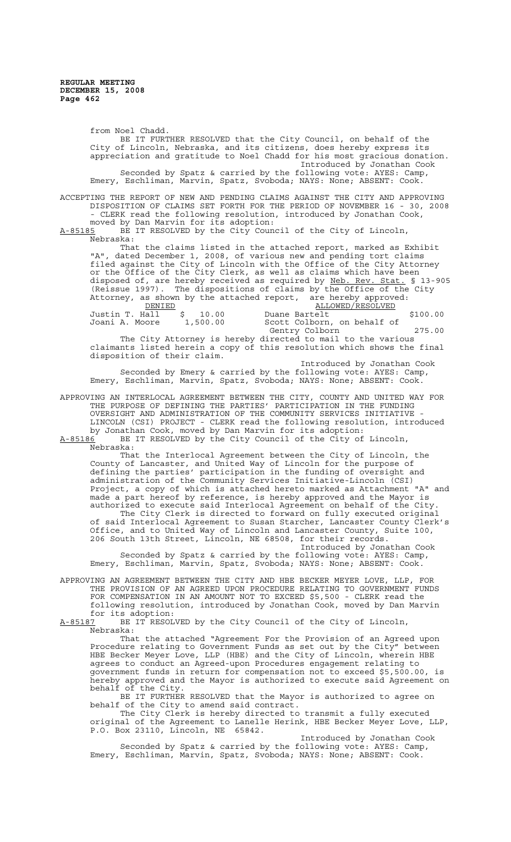from Noel Chadd. BE IT FURTHER RESOLVED that the City Council, on behalf of the City of Lincoln, Nebraska, and its citizens, does hereby express its appreciation and gratitude to Noel Chadd for his most gracious donation. Introduced by Jonathan Cook Seconded by Spatz & carried by the following vote: AYES: Camp, Emery, Eschliman, Marvin, Spatz, Svoboda; NAYS: None; ABSENT: Cook. ACCEPTING THE REPORT OF NEW AND PENDING CLAIMS AGAINST THE CITY AND APPROVING DISPOSITION OF CLAIMS SET FORTH FOR THE PERIOD OF NOVEMBER 16 - 30, 2008 - CLERK read the following resolution, introduced by Jonathan Cook, moved by Dan Marvin for its adoption: A-85185 BE IT RESOLVED by the City Council of the City of Lincoln, Nebraska: That the claims listed in the attached report, marked as Exhibit "A", dated December 1, 2008, of various new and pending tort claims filed against the City of Lincoln with the Office of the City Attorney or the Office of the City Clerk, as well as claims which have been disposed of, are hereby received as required by Neb. Rev. Stat. § 13-905 (Reissue 1997). The dispositions of claims by the Office of the City

Attorney, as shown by the attached report, are hereby approved:<br>DENIED ALLOWED/RESOLVED<br>Justin T. Hall  $\frac{5}{5}$  10.00 Duane Bartelt Example of the Control Control ALLOWED/RESOLVED<br>
Duane Bartelt Justin T. Hall  $\frac{1}{5}$  10.00 Duane Bartelt  $\frac{1}{500.00}$  \$100.00 Scott Colborn, on behalf of Gentry Colborn 275.00 The City Attorney is hereby directed to mail to the various

claimants listed herein a copy of this resolution which shows the final disposition of their claim. Introduced by Jonathan Cook

Seconded by Emery & carried by the following vote: AYES: Camp, Emery, Eschliman, Marvin, Spatz, Svoboda; NAYS: None; ABSENT: Cook.

APPROVING AN INTERLOCAL AGREEMENT BETWEEN THE CITY, COUNTY AND UNITED WAY FOR THE PURPOSE OF DEFINING THE PARTIES' PARTICIPATION IN THE FUNDING OVERSIGHT AND ADMINISTRATION OF THE COMMUNITY SERVICES INITIATIVE - LINCOLN (CSI) PROJECT - CLERK read the following resolution, introduced by Jonathan Cook, moved by Dan Marvin for its adoption:

A-85186<sup>'</sup> BE IT RESOLVED by the City Council of the City of Lincoln, Nebraska:

That the Interlocal Agreement between the City of Lincoln, the County of Lancaster, and United Way of Lincoln for the purpose of defining the parties' participation in the funding of oversight and administration of the Community Services Initiative-Lincoln (CSI) Project, a copy of which is attached hereto marked as Attachment "A" and made a part hereof by reference, is hereby approved and the Mayor is authorized to execute said Interlocal Agreement on behalf of the City. The City Clerk is directed to forward on fully executed original of said Interlocal Agreement to Susan Starcher, Lancaster County Clerk's Office, and to United Way of Lincoln and Lancaster County, Suite 100, 206 South 13th Street, Lincoln, NE 68508, for their records.

Introduced by Jonathan Cook Seconded by Spatz & carried by the following vote: AYES: Camp, Emery, Eschliman, Marvin, Spatz, Svoboda; NAYS: None; ABSENT: Cook.

APPROVING AN AGREEMENT BETWEEN THE CITY AND HBE BECKER MEYER LOVE, LLP, FOR THE PROVISION OF AN AGREED UPON PROCEDURE RELATING TO GOVERNMENT FUNDS FOR COMPENSATION IN AN AMOUNT NOT TO EXCEED \$5,500 - CLERK read the following resolution, introduced by Jonathan Cook, moved by Dan Marvin for its adoption:<br><u>A-85187</u> BE IT RESOL

BE IT RESOLVED by the City Council of the City of Lincoln, Nebraska:

That the attached "Agreement For the Provision of an Agreed upon Procedure relating to Government Funds as set out by the City" between HBE Becker Meyer Love, LLP (HBE) and the City of Lincoln, wherein HBE agrees to conduct an Agreed-upon Procedures engagement relating to government funds in return for compensation not to exceed \$5,500.00, is hereby approved and the Mayor is authorized to execute said Agreement on behalf of the City.

BE IT FURTHER RESOLVED that the Mayor is authorized to agree on behalf of the City to amend said contract.

The City Clerk is hereby directed to transmit a fully executed original of the Agreement to Lanelle Herink, HBE Becker Meyer Love, LLP, P.O. Box 23110, Lincoln, NE 65842.

Introduced by Jonathan Cook Seconded by Spatz & carried by the following vote: AYES: Camp, Emery, Eschliman, Marvin, Spatz, Svoboda; NAYS: None; ABSENT: Cook.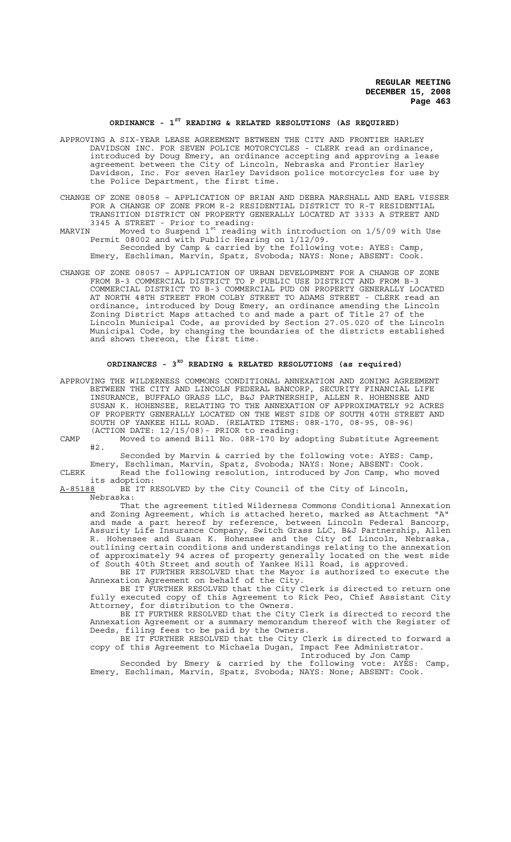## **ORDINANCE - 1ST READING & RELATED RESOLUTIONS (AS REQUIRED)**

- APPROVING A SIX-YEAR LEASE AGREEMENT BETWEEN THE CITY AND FRONTIER HARLEY DAVIDSON INC. FOR SEVEN POLICE MOTORCYCLES - CLERK read an ordinance, introduced by Doug Emery, an ordinance accepting and approving a lease agreement between the City of Lincoln, Nebraska and Frontier Harley Davidson, Inc. For seven Harley Davidson police motorcycles for use by the Police Department, the first time.
- CHANGE OF ZONE 08058 APPLICATION OF BRIAN AND DEBRA MARSHALL AND EARL VISSER FOR A CHANGE OF ZONE FROM R-2 RESIDENTIAL DISTRICT TO R-T RESIDENTIAL TRANSITION DISTRICT ON PROPERTY GENERALLY LOCATED AT 3333 A STREET AND 3345 A STREET - Prior to reading:
- MARVIN Moved to Suspend 1st reading with introduction on 1/5/09 with Use Permit 08002 and with Public Hearing on 1/12/09.

Seconded by Camp & carried by the following vote: AYES: Camp, Emery, Eschliman, Marvin, Spatz, Svoboda; NAYS: None; ABSENT: Cook.

CHANGE OF ZONE 08057 – APPLICATION OF URBAN DEVELOPMENT FOR A CHANGE OF ZONE FROM B-3 COMMERCIAL DISTRICT TO P PUBLIC USE DISTRICT AND FROM B-3 COMMERCIAL DISTRICT TO B-3 COMMERCIAL PUD ON PROPERTY GENERALLY LOCATED AT NORTH 48TH STREET FROM COLBY STREET TO ADAMS STREET - CLERK read an ordinance, introduced by Doug Emery, an ordinance amending the Lincoln Zoning District Maps attached to and made a part of Title 27 of the Lincoln Municipal Code, as provided by Section 27.05.020 of the Lincoln Municipal Code, by changing the boundaries of the districts established and shown thereon, the first time.

# **ORDINANCES - 3RD READING & RELATED RESOLUTIONS (as required)**

APPROVING THE WILDERNESS COMMONS CONDITIONAL ANNEXATION AND ZONING AGREEMENT BETWEEN THE CITY AND LINCOLN FEDERAL BANCORP, SECURITY FINANCIAL LIFE INSURANCE, BUFFALO GRASS LLC, B&J PARTNERSHIP, ALLEN R. HOHENSEE AND SUSAN K. HOHENSEE, RELATING TO THE ANNEXATION OF APPROXIMATELY 92 ACRES OF PROPERTY GENERALLY LOCATED ON THE WEST SIDE OF SOUTH 40TH STREET AND SOUTH OF YANKEE HILL ROAD. (RELATED ITEMS: 08R-170, 08-95, 08-96) (ACTION DATE: 12/15/08)- PRIOR to reading:

CAMP Moved to amend Bill No. 08R-170 by adopting Substitute Agreement #2.

Seconded by Marvin & carried by the following vote: AYES: Camp,

Emery, Eschliman, Marvin, Spatz, Svoboda; NAYS: None; ABSENT: Cook. CLERK The Read the following resolution, introduced by Jon Camp, who moved

its adoption:<br><u>A-85188</u> BE IT R BE IT RESOLVED by the City Council of the City of Lincoln, Nebraska:

That the agreement titled Wilderness Commons Conditional Annexation and Zoning Agreement, which is attached hereto, marked as Attachment "A" and made a part hereof by reference, between Lincoln Federal Bancorp, Assurity Life Insurance Company, Switch Grass LLC, B&J Partnership, Allen R. Hohensee and Susan K. Hohensee and the City of Lincoln, Nebraska, outlining certain conditions and understandings relating to the annexation of approximately 94 acres of property generally located on the west side of South 40th Street and south of Yankee Hill Road, is approved.

BE IT FURTHER RESOLVED that the Mayor is authorized to execute the Annexation Agreement on behalf of the City.

BE IT FURTHER RESOLVED that the City Clerk is directed to return one fully executed copy of this Agreement to Rick Peo, Chief Assistant City Attorney, for distribution to the Owners.

BE IT FURTHER RESOLVED that the City Clerk is directed to record the Annexation Agreement or a summary memorandum thereof with the Register of Deeds, filing fees to be paid by the Owners.

BE IT FURTHER RESOLVED that the City Clerk is directed to forward a copy of this Agreement to Michaela Dugan, Impact Fee Administrator. Introduced by Jon Camp

Seconded by Emery & carried by the following vote: AYES: Camp, Emery, Eschliman, Marvin, Spatz, Svoboda; NAYS: None; ABSENT: Cook.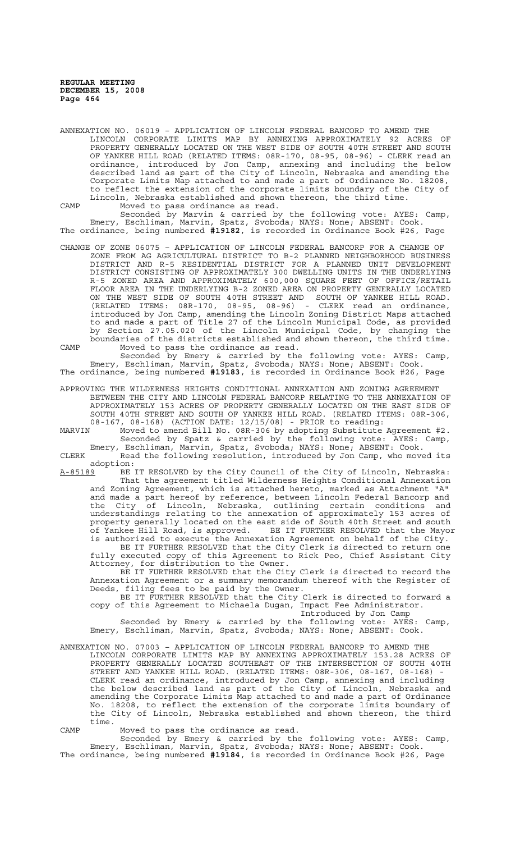ANNEXATION NO. 06019 – APPLICATION OF LINCOLN FEDERAL BANCORP TO AMEND THE LINCOLN CORPORATE LIMITS MAP BY ANNEXING APPROXIMATELY 92 ACRES OF PROPERTY GENERALLY LOCATED ON THE WEST SIDE OF SOUTH 40TH STREET AND SOUTH OF YANKEE HILL ROAD (RELATED ITEMS: 08R-170, 08-95, 08-96) - CLERK read an ordinance, introduced by Jon Camp, annexing and including the below described land as part of the City of Lincoln, Nebraska and amending the Corporate Limits Map attached to and made a part of Ordinance No. 18208, to reflect the extension of the corporate limits boundary of the City of Lincoln, Nebraska established and shown thereon, the third time.

CAMP Moved to pass ordinance as read.

Seconded by Marvin & carried by the following vote: AYES: Camp, Emery, Eschliman, Marvin, Spatz, Svoboda; NAYS: None; ABSENT: Cook. The ordinance, being numbered **#19182**, is recorded in Ordinance Book #26, Page

CHANGE OF ZONE 06075 – APPLICATION OF LINCOLN FEDERAL BANCORP FOR A CHANGE OF ZONE FROM AG AGRICULTURAL DISTRICT TO B-2 PLANNED NEIGHBORHOOD BUSINESS DISTRICT AND R-5 RESIDENTIAL DISTRICT FOR A PLANNED UNIT DEVELOPMENT DISTRICT CONSISTING OF APPROXIMATELY 300 DWELLING UNITS IN THE UNDERLYING R-5 ZONED AREA AND APPROXIMATELY 600,000 SQUARE FEET OF OFFICE/RETAIL FLOOR AREA IN THE UNDERLYING B-2 ZONED AREA ON PROPERTY GENERALLY LOCATED ON THE WEST SIDE OF SOUTH 40TH STREET AND SOUTH OF YANKEE HILL ROAD. (RELATED ITEMS: 08R-170, 08-95, 08-96) - CLERK read an ordinance, introduced by Jon Camp, amending the Lincoln Zoning District Maps attached to and made a part of Title 27 of the Lincoln Municipal Code, as provided by Section 27.05.020 of the Lincoln Municipal Code, by changing the boundaries of the districts established and shown thereon, the third time. CAMP Moved to pass the ordinance as read.

Seconded by Emery & carried by the following vote: AYES: Camp, Emery, Eschliman, Marvin, Spatz, Svoboda; NAYS: None; ABSENT: Cook. The ordinance, being numbered **#19183**, is recorded in Ordinance Book #26, Page

APPROVING THE WILDERNESS HEIGHTS CONDITIONAL ANNEXATION AND ZONING AGREEMENT BETWEEN THE CITY AND LINCOLN FEDERAL BANCORP RELATING TO THE ANNEXATION OF APPROXIMATELY 153 ACRES OF PROPERTY GENERALLY LOCATED ON THE EAST SIDE OF SOUTH 40TH STREET AND SOUTH OF YANKEE HILL ROAD. (RELATED ITEMS: 08R-306, 08-167, 08-168) (ACTION DATE: 12/15/08) - PRIOR to reading:

MARVIN Moved to amend Bill No. 08R-306 by adopting Substitute Agreement #2. Seconded by Spatz & carried by the following vote: AYES: Camp, Emery, Eschliman, Marvin, Spatz, Svoboda; NAYS: None; ABSENT: Cook.

CLERK Read the following resolution, introduced by Jon Camp, who moved its adoption:<br>A-85189 BE

A-85189 BE IT RESOLVED by the City Council of the City of Lincoln, Nebraska: That the agreement titled Wilderness Heights Conditional Annexation and Zoning Agreement, which is attached hereto, marked as Attachment "A" and made a part hereof by reference, between Lincoln Federal Bancorp and the City of Lincoln, Nebraska, outlining certain conditions and understandings relating to the annexation of approximately 153 acres of property generally located on the east side of South 40th Street and south of Yankee Hill Road, is approved. BE IT FURTHER RESOLVED that the Mayor is authorized to execute the Annexation Agreement on behalf of the City.

BE IT FURTHER RESOLVED that the City Clerk is directed to return one fully executed copy of this Agreement to Rick Peo, Chief Assistant City Attorney, for distribution to the Owner.

BE IT FURTHER RESOLVED that the City Clerk is directed to record the Annexation Agreement or a summary memorandum thereof with the Register of Deeds, filing fees to be paid by the Owner.

BE IT FURTHER RESOLVED that the City Clerk is directed to forward a copy of this Agreement to Michaela Dugan, Impact Fee Administrator.

Introduced by Jon Camp

Seconded by Emery & carried by the following vote: AYES: Camp, Emery, Eschliman, Marvin, Spatz, Svoboda; NAYS: None; ABSENT: Cook.

ANNEXATION NO. 07003 – APPLICATION OF LINCOLN FEDERAL BANCORP TO AMEND THE LINCOLN CORPORATE LIMITS MAP BY ANNEXING APPROXIMATELY 153.28 ACRES OF PROPERTY GENERALLY LOCATED SOUTHEAST OF THE INTERSECTION OF SOUTH 40TH STREET AND YANKEE HILL ROAD. (RELATED ITEMS: 08R-306, 08-167, 08-168) - CLERK read an ordinance, introduced by Jon Camp, annexing and including the below described land as part of the City of Lincoln, Nebraska and amending the Corporate Limits Map attached to and made a part of Ordinance No. 18208, to reflect the extension of the corporate limits boundary of the City of Lincoln, Nebraska established and shown thereon, the third time.

CAMP Moved to pass the ordinance as read.

Seconded by Emery & carried by the following vote: AYES: Camp, Emery, Eschliman, Marvin, Spatz, Svoboda; NAYS: None; ABSENT: Cook. The ordinance, being numbered **#19184**, is recorded in Ordinance Book #26, Page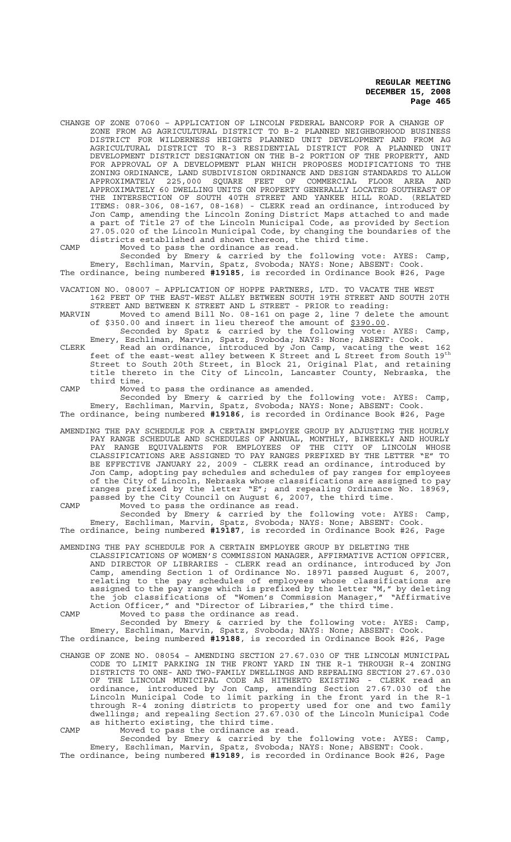CHANGE OF ZONE 07060 – APPLICATION OF LINCOLN FEDERAL BANCORP FOR A CHANGE OF ZONE FROM AG AGRICULTURAL DISTRICT TO B-2 PLANNED NEIGHBORHOOD BUSINESS DISTRICT FOR WILDERNESS HEIGHTS PLANNED UNIT DEVELOPMENT AND FROM AG AGRICULTURAL DISTRICT TO R-3 RESIDENTIAL DISTRICT FOR A PLANNED UNIT DEVELOPMENT DISTRICT DESIGNATION ON THE B-2 PORTION OF THE PROPERTY, AND FOR APPROVAL OF A DEVELOPMENT PLAN WHICH PROPOSES MODIFICATIONS TO THE ZONING ORDINANCE, LAND SUBDIVISION ORDINANCE AND DESIGN STANDARDS TO ALLOW APPROXIMATELY 225,000 SQUARE FEET OF COMMERCIAL FLOOR AREA AND APPROXIMATELY 60 DWELLING UNITS ON PROPERTY GENERALLY LOCATED SOUTHEAST OF THE INTERSECTION OF SOUTH 40TH STREET AND YANKEE HILL ROAD. (RELATED ITEMS: 08R-306, 08-167, 08-168) - CLERK read an ordinance, introduced by Jon Camp, amending the Lincoln Zoning District Maps attached to and made a part of Title 27 of the Lincoln Municipal Code, as provided by Section 27.05.020 of the Lincoln Municipal Code, by changing the boundaries of the districts established and shown thereon, the third time.

CAMP Moved to pass the ordinance as read.

Seconded by Emery & carried by the following vote: AYES: Camp, Emery, Eschliman, Marvin, Spatz, Svoboda; NAYS: None; ABSENT: Cook. The ordinance, being numbered **#19185**, is recorded in Ordinance Book #26, Page

VACATION NO. 08007 – APPLICATION OF HOPPE PARTNERS, LTD. TO VACATE THE WEST 162 FEET OF THE EAST-WEST ALLEY BETWEEN SOUTH 19TH STREET AND SOUTH 20TH

STREET AND BETWEEN K STREET AND L STREET - PRIOR to reading:<br>MARVIN Moved to amend Bill No. 08-161 on page 2, line 7 delet MARVIN Moved to amend Bill No. 08-161 on page 2, line 7 delete the amount of \$350.00 and insert in lieu thereof the amount of \$390.00. Seconded by Spatz & carried by the following vote: AYES: Camp,

Emery, Eschliman, Marvin, Spatz, Svoboda; NAYS: None; ABSENT: Cook. CLERK Read an ordinance, introduced by Jon Camp, vacating the west 162 feet of the east-west alley between K Street and L Street from South 19th Street to South 20th Street, in Block 21, Original Plat, and retaining title thereto in the City of Lincoln, Lancaster County, Nebraska, the third time.

CAMP Moved to pass the ordinance as amended. Seconded by Emery & carried by the following vote: AYES: Camp,

Emery, Eschliman, Marvin, Spatz, Svoboda; NAYS: None; ABSENT: Cook. The ordinance, being numbered **#19186**, is recorded in Ordinance Book #26, Page

AMENDING THE PAY SCHEDULE FOR A CERTAIN EMPLOYEE GROUP BY ADJUSTING THE HOURLY PAY RANGE SCHEDULE AND SCHEDULES OF ANNUAL, MONTHLY, BIWEEKLY AND HOURLY PAY RANGE EQUIVALENTS FOR EMPLOYEES OF THE CITY OF LINCOLN WHOSE CLASSIFICATIONS ARE ASSIGNED TO PAY RANGES PREFIXED BY THE LETTER "E" TO BE EFFECTIVE JANUARY 22, 2009 - CLERK read an ordinance, introduced by Jon Camp, adopting pay schedules and schedules of pay ranges for employees of the City of Lincoln, Nebraska whose classifications are assigned to pay ranges prefixed by the letter "E"; and repealing Ordinance No. 18969, passed by the City Council on August 6, 2007, the third time.

CAMP Moved to pass the ordinance as read.

Seconded by Emery & carried by the following vote: AYES: Camp, Emery, Eschliman, Marvin, Spatz, Svoboda; NAYS: None; ABSENT: Cook. The ordinance, being numbered **#19187**, is recorded in Ordinance Book #26, Page

AMENDING THE PAY SCHEDULE FOR A CERTAIN EMPLOYEE GROUP BY DELETING THE

CLASSIFICATIONS OF WOMEN'S COMMISSION MANAGER, AFFIRMATIVE ACTION OFFICER, AND DIRECTOR OF LIBRARIES - CLERK read an ordinance, introduced by Jon Camp, amending Section 1 of Ordinance No. 18971 passed August 6, 2007, relating to the pay schedules of employees whose classifications are assigned to the pay range which is prefixed by the letter "M," by deleting the job classifications of "Women's Commission Manager," "Affirmative Action Officer," and "Director of Libraries," the third time.

CAMP Moved to pass the ordinance as read.

Seconded by Emery & carried by the following vote: AYES: Camp, Emery, Eschliman, Marvin, Spatz, Svoboda; NAYS: None; ABSENT: Cook. The ordinance, being numbered **#19188**, is recorded in Ordinance Book #26, Page

CHANGE OF ZONE NO. 08054 – AMENDING SECTION 27.67.030 OF THE LINCOLN MUNICIPAL CODE TO LIMIT PARKING IN THE FRONT YARD IN THE R-1 THROUGH R-4 ZONING DISTRICTS TO ONE- AND TWO-FAMILY DWELLINGS AND REPEALING SECTION 27.67.030 OF THE LINCOLN MUNICIPAL CODE AS HITHERTO EXISTING - CLERK read an ordinance, introduced by Jon Camp, amending Section 27.67.030 of the Lincoln Municipal Code to limit parking in the front yard in the R-1 through R-4 zoning districts to property used for one and two family dwellings; and repealing Section 27.67.030 of the Lincoln Municipal Code as hitherto existing, the third time.

CAMP Moved to pass the ordinance as read.

Seconded by Emery & carried by the following vote: AYES: Camp, Emery, Eschliman, Marvin, Spatz, Svoboda; NAYS: None; ABSENT: Cook. The ordinance, being numbered **#19189**, is recorded in Ordinance Book #26, Page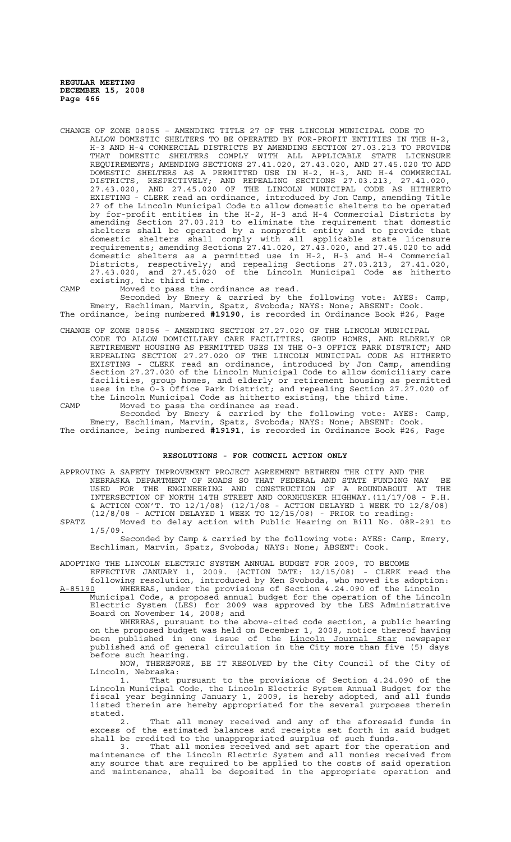CHANGE OF ZONE 08055 – AMENDING TITLE 27 OF THE LINCOLN MUNICIPAL CODE TO ALLOW DOMESTIC SHELTERS TO BE OPERATED BY FOR-PROFIT ENTITIES IN THE H-2, H-3 AND H-4 COMMERCIAL DISTRICTS BY AMENDING SECTION 27.03.213 TO PROVIDE THAT DOMESTIC SHELTERS COMPLY WITH ALL APPLICABLE STATE LICENSURE REQUIREMENTS; AMENDING SECTIONS 27.41.020, 27.43.020, AND 27.45.020 TO ADD DOMESTIC SHELTERS AS A PERMITTED USE IN H-2, H-3, AND H-4 COMMERCIAL DISTRICTS, RESPECTIVELY; AND REPEALING SECTIONS 27.03.213, 27.41.020, 27.43.020, AND 27.45.020 OF THE LINCOLN MUNICIPAL CODE AS HITHERTO EXISTING - CLERK read an ordinance, introduced by Jon Camp, amending Title 27 of the Lincoln Municipal Code to allow domestic shelters to be operated by for-profit entities in the H-2, H-3 and H-4 Commercial Districts by amending Section 27.03.213 to eliminate the requirement that domestic shelters shall be operated by a nonprofit entity and to provide that domestic shelters shall comply with all applicable state licensure requirements; amending Sections 27.41.020, 27.43.020, and 27.45.020 to add domestic shelters as a permitted use in H-2, H-3 and H-4 Commercial Districts, respectively; and repealing Sections 27.03.213, 27.41.020, 27.43.020, and 27.45.020 of the Lincoln Municipal Code as hitherto existing, the third time.

CAMP Moved to pass the ordinance as read.

Seconded by Emery & carried by the following vote: AYES: Camp, Emery, Eschliman, Marvin, Spatz, Svoboda; NAYS: None; ABSENT: Cook. The ordinance, being numbered **#19190**, is recorded in Ordinance Book #26, Page

CHANGE OF ZONE 08056 – AMENDING SECTION 27.27.020 OF THE LINCOLN MUNICIPAL CODE TO ALLOW DOMICILIARY CARE FACILITIES, GROUP HOMES, AND ELDERLY OR RETIREMENT HOUSING AS PERMITTED USES IN THE O-3 OFFICE PARK DISTRICT; AND REPEALING SECTION 27.27.020 OF THE LINCOLN MUNICIPAL CODE AS HITHERTO EXISTING - CLERK read an ordinance, introduced by Jon Camp, amending Section 27.27.020 of the Lincoln Municipal Code to allow domiciliary care facilities, group homes, and elderly or retirement housing as permitted uses in the O-3 Office Park District; and repealing Section 27.27.020 of the Lincoln Municipal Code as hitherto existing, the third time.

CAMP Moved to pass the ordinance as read. Seconded by Emery & carried by the following vote: AYES: Camp, Emery, Eschliman, Marvin, Spatz, Svoboda; NAYS: None; ABSENT: Cook. The ordinance, being numbered **#19191**, is recorded in Ordinance Book #26, Page

#### **RESOLUTIONS - FOR COUNCIL ACTION ONLY**

APPROVING A SAFETY IMPROVEMENT PROJECT AGREEMENT BETWEEN THE CITY AND THE NEBRASKA DEPARTMENT OF ROADS SO THAT FEDERAL AND STATE FUNDING MAY BE USED FOR THE ENGINEERING AND CONSTRUCTION OF A ROUNDABOUT AT THE INTERSECTION OF NORTH 14TH STREET AND CORNHUSKER HIGHWAY.(11/17/08 - P.H. & ACTION CON'T. TO 12/1/08) (12/1/08 - ACTION DELAYED 1 WEEK TO 12/8/08) (12/8/08 - ACTION DELAYED 1 WEEK TO 12/15/08) - PRIOR to reading:

SPATZ Moved to delay action with Public Hearing on Bill No. 08R-291 to 1/5/09.

Seconded by Camp & carried by the following vote: AYES: Camp, Emery, Eschliman, Marvin, Spatz, Svoboda; NAYS: None; ABSENT: Cook.

ADOPTING THE LINCOLN ELECTRIC SYSTEM ANNUAL BUDGET FOR 2009, TO BECOME

EFFECTIVE JANUARY 1, 2009. (ACTION DATE: 12/15/08) - CLERK read the following resolution, introduced by Ken Svoboda, who moved its adoption: A-85190 WHEREAS, under the provisions of Section 4.24.090 of the Lincoln

Municipal Code, a proposed annual budget for the operation of the Lincoln Electric System (LES) for 2009 was approved by the LES Administrative Board on November 14, 2008; and

WHEREAS, pursuant to the above-cited code section, a public hearing on the proposed budget was held on December 1, 2008, notice thereof having been published in one issue of the Lincoln Journal Star newspaper published and of general circulation in the City more than five (5) days before such hearing.

NOW, THEREFORE, BE IT RESOLVED by the City Council of the City of Lincoln, Nebraska:

1. That pursuant to the provisions of Section 4.24.090 of the Lincoln Municipal Code, the Lincoln Electric System Annual Budget for the fiscal year beginning January 1, 2009, is hereby adopted, and all funds listed therein are hereby appropriated for the several purposes therein stated.<br>2.

That all money received and any of the aforesaid funds in excess of the estimated balances and receipts set forth in said budget shall be credited to the unappropriated surplus of such funds.

3. That all monies received and set apart for the operation and maintenance of the Lincoln Electric System and all monies received from any source that are required to be applied to the costs of said operation and maintenance, shall be deposited in the appropriate operation and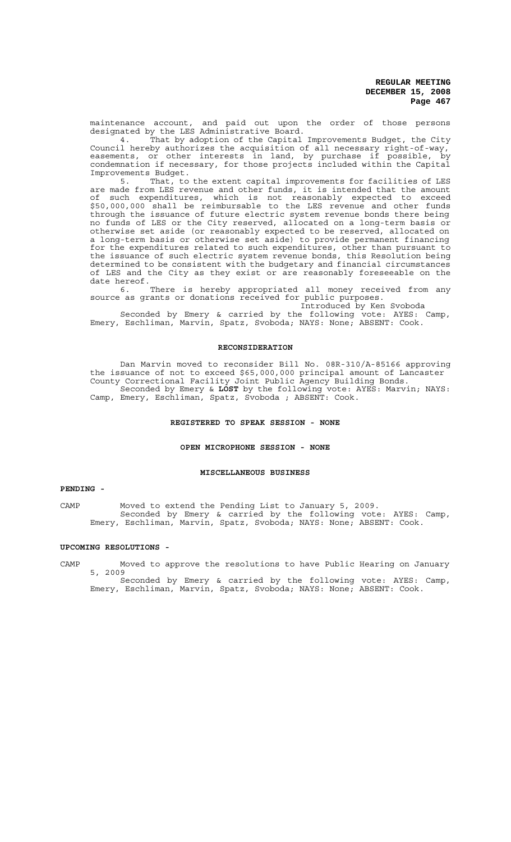maintenance account, and paid out upon the order of those persons designated by the LES Administrative Board.

4. That by adoption of the Capital Improvements Budget, the City Council hereby authorizes the acquisition of all necessary right-of-way, easements, or other interests in land, by purchase if possible, by condemnation if necessary, for those projects included within the Capital Improvements Budget.

5. That, to the extent capital improvements for facilities of LES are made from LES revenue and other funds, it is intended that the amount of such expenditures, which is not reasonably expected to exceed \$50,000,000 shall be reimbursable to the LES revenue and other funds through the issuance of future electric system revenue bonds there being no funds of LES or the City reserved, allocated on a long-term basis or otherwise set aside (or reasonably expected to be reserved, allocated on a long-term basis or otherwise set aside) to provide permanent financing for the expenditures related to such expenditures, other than pursuant to the issuance of such electric system revenue bonds, this Resolution being determined to be consistent with the budgetary and financial circumstances of LES and the City as they exist or are reasonably foreseeable on the date hereof.

6. There is hereby appropriated all money received from any source as grants or donations received for public purposes.

Introduced by Ken Svoboda

Seconded by Emery & carried by the following vote: AYES: Camp, Emery, Eschliman, Marvin, Spatz, Svoboda; NAYS: None; ABSENT: Cook.

## **RECONSIDERATION**

 Dan Marvin moved to reconsider Bill No. 08R-310/A-85166 approving the issuance of not to exceed \$65,000,000 principal amount of Lancaster County Correctional Facility Joint Public Agency Building Bonds. Seconded by Emery & **LOST** by the following vote: AYES: Marvin; NAYS:

Camp, Emery, Eschliman, Spatz, Svoboda ; ABSENT: Cook.

## **REGISTERED TO SPEAK SESSION - NONE**

## **OPEN MICROPHONE SESSION - NONE**

#### **MISCELLANEOUS BUSINESS**

# **PENDING -**

CAMP Moved to extend the Pending List to January 5, 2009. Seconded by Emery & carried by the following vote: AYES: Camp, Emery, Eschliman, Marvin, Spatz, Svoboda; NAYS: None; ABSENT: Cook.

## **UPCOMING RESOLUTIONS -**

CAMP Moved to approve the resolutions to have Public Hearing on January 5, 2009

Seconded by Emery & carried by the following vote: AYES: Camp, Emery, Eschliman, Marvin, Spatz, Svoboda; NAYS: None; ABSENT: Cook.